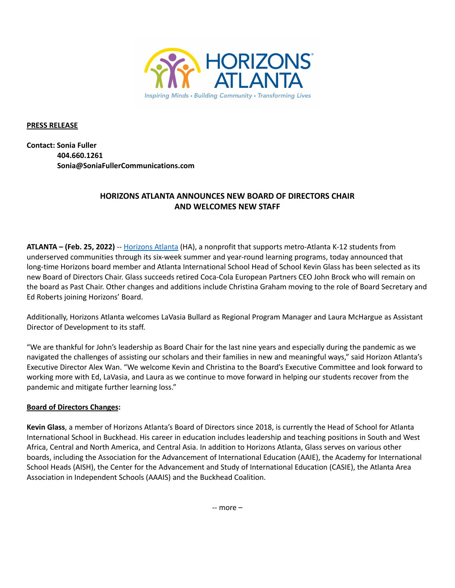

**PRESS RELEASE**

**Contact: Sonia Fuller 404.660.1261 Sonia@SoniaFullerCommunications.com**

# **HORIZONS ATLANTA ANNOUNCES NEW BOARD OF DIRECTORS CHAIR AND WELCOMES NEW STAFF**

**ATLANTA – (Feb. 25, 2022)** -- [Horizons](http://www.horizonsatlanta.org) Atlanta (HA), a nonprofit that supports metro-Atlanta K-12 students from underserved communities through its six-week summer and year-round learning programs, today announced that long-time Horizons board member and Atlanta International School Head of School Kevin Glass has been selected as its new Board of Directors Chair. Glass succeeds retired Coca-Cola European Partners CEO John Brock who will remain on the board as Past Chair. Other changes and additions include Christina Graham moving to the role of Board Secretary and Ed Roberts joining Horizons' Board.

Additionally, Horizons Atlanta welcomes LaVasia Bullard as Regional Program Manager and Laura McHargue as Assistant Director of Development to its staff.

"We are thankful for John's leadership as Board Chair for the last nine years and especially during the pandemic as we navigated the challenges of assisting our scholars and their families in new and meaningful ways," said Horizon Atlanta's Executive Director Alex Wan. "We welcome Kevin and Christina to the Board's Executive Committee and look forward to working more with Ed, LaVasia, and Laura as we continue to move forward in helping our students recover from the pandemic and mitigate further learning loss."

## **Board of Directors Changes:**

**Kevin Glass**, a member of Horizons Atlanta's Board of Directors since 2018, is currently the Head of School for Atlanta International School in Buckhead. His career in education includes leadership and teaching positions in South and West Africa, Central and North America, and Central Asia. In addition to Horizons Atlanta, Glass serves on various other boards, including the Association for the Advancement of International Education (AAIE), the Academy for International School Heads (AISH), the Center for the Advancement and Study of International Education (CASIE), the Atlanta Area Association in Independent Schools (AAAIS) and the Buckhead Coalition.

-- more –